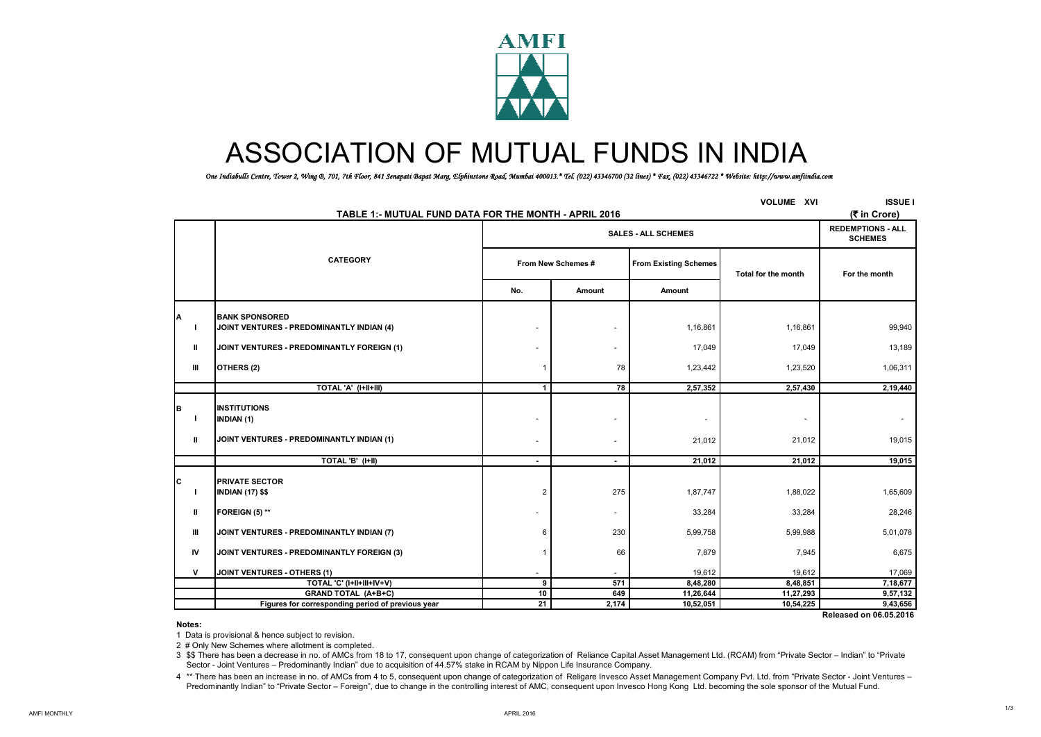

# ASSOCIATION OF MUTUAL FUNDS IN INDIA

*One Indiabulls Centre, Tower 2, Wing B, 701, 7th Floor, 841 Senapati Bapat Marg, Elphinstone Road, Mumbai 400013.\* Tel. (022) 43346700 (32 lines) \* Fax. (022) 43346722 \* Website: http://www.amfiindia.com*

| <b>VOLUME XVI</b><br>TABLE 1:- MUTUAL FUND DATA FOR THE MONTH - APRIL 2016 |                                                   |                          |                                            |                              |                     |               |  |  |  |
|----------------------------------------------------------------------------|---------------------------------------------------|--------------------------|--------------------------------------------|------------------------------|---------------------|---------------|--|--|--|
|                                                                            |                                                   |                          | <b>REDEMPTIONS - ALL</b><br><b>SCHEMES</b> |                              |                     |               |  |  |  |
|                                                                            | <b>CATEGORY</b>                                   |                          | From New Schemes #                         | <b>From Existing Schemes</b> | Total for the month | For the month |  |  |  |
|                                                                            |                                                   | No.<br>Amount            |                                            | Amount                       |                     |               |  |  |  |
| A                                                                          | <b>BANK SPONSORED</b>                             |                          |                                            |                              |                     |               |  |  |  |
| J.                                                                         | JOINT VENTURES - PREDOMINANTLY INDIAN (4)         | ٠                        | $\overline{\phantom{a}}$                   | 1,16,861                     | 1,16,861            | 99,940        |  |  |  |
| Ш                                                                          | JOINT VENTURES - PREDOMINANTLY FOREIGN (1)        |                          | $\sim$                                     | 17,049                       | 17,049              | 13,189        |  |  |  |
| Ш                                                                          | OTHERS (2)                                        |                          | 78                                         | 1,23,442                     | 1,23,520            | 1,06,311      |  |  |  |
|                                                                            | TOTAL 'A' (I+II+III)                              | 1                        | 78                                         | 2,57,352                     | 2,57,430            | 2,19,440      |  |  |  |
| B<br>J.                                                                    | <b>INSTITUTIONS</b><br>INDIAN (1)                 | ٠                        | ٠                                          |                              |                     |               |  |  |  |
| Ш                                                                          | JOINT VENTURES - PREDOMINANTLY INDIAN (1)         | ٠                        | ٠                                          | 21,012                       | 21,012              | 19,015        |  |  |  |
|                                                                            | TOTAL 'B' (I+II)                                  | $\sim$                   | $\blacksquare$                             | 21,012                       | 21,012              | 19,015        |  |  |  |
| Iс<br>J.                                                                   | <b>PRIVATE SECTOR</b><br><b>INDIAN (17) \$\$</b>  | $\overline{2}$           | 275                                        | 1,87,747                     | 1,88,022            | 1,65,609      |  |  |  |
| Ш                                                                          | FOREIGN (5) **                                    |                          | $\sim$                                     | 33,284                       | 33,284              | 28,246        |  |  |  |
| Ш                                                                          | JOINT VENTURES - PREDOMINANTLY INDIAN (7)         | 6                        | 230                                        | 5,99,758                     | 5,99,988            | 5,01,078      |  |  |  |
| IV                                                                         | JOINT VENTURES - PREDOMINANTLY FOREIGN (3)        |                          | 66                                         | 7,879                        | 7,945               | 6,675         |  |  |  |
| v                                                                          | <b>JOINT VENTURES - OTHERS (1)</b>                | $\overline{\phantom{a}}$ |                                            | 19,612                       | 19,612              | 17,069        |  |  |  |
|                                                                            | TOTAL 'C' (I+II+III+IV+V)                         | 9                        | 571                                        | 8,48,280                     | 8,48,851            | 7,18,677      |  |  |  |
|                                                                            | <b>GRAND TOTAL (A+B+C)</b>                        | 10                       | 649                                        | 11,26,644                    | 11,27,293           | 9,57,132      |  |  |  |
|                                                                            | Figures for corresponding period of previous year | 21                       | 2,174                                      | 10,52,051                    | 10,54,225           | 9,43,656      |  |  |  |

 **Released on 06.05.2016**

**Notes:**

1 Data is provisional & hence subject to revision.

2 # Only New Schemes where allotment is completed.

3 \$\$ There has been a decrease in no. of AMCs from 18 to 17, consequent upon change of categorization of Reliance Capital Asset Management Ltd. (RCAM) from "Private Sector – Indian" to "Private Sector - Joint Ventures – Predominantly Indian" due to acquisition of 44.57% stake in RCAM by Nippon Life Insurance Company.

4 \*\* There has been an increase in no. of AMCs from 4 to 5, consequent upon change of categorization of Religare Invesco Asset Management Company Pvt. Ltd. from "Private Sector - Joint Ventures -Predominantly Indian" to "Private Sector – Foreign", due to change in the controlling interest of AMC, consequent upon Invesco Hong Kong Ltd. becoming the sole sponsor of the Mutual Fund.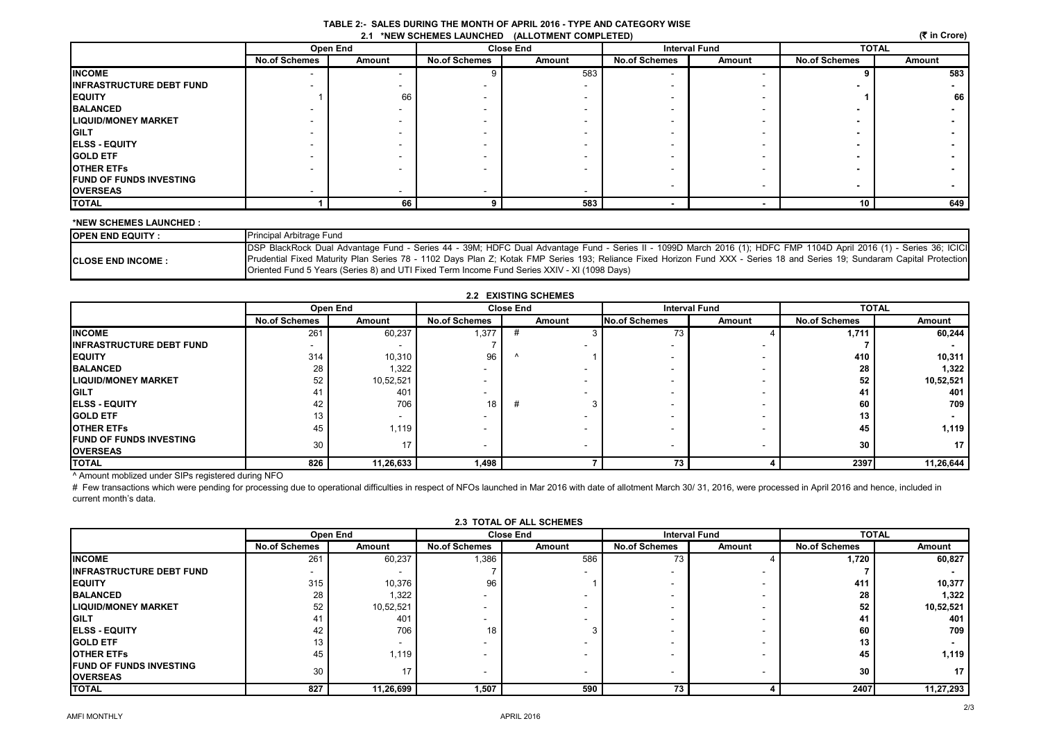| TABLE 2:- SALES DURING THE MONTH OF APRIL 2016 - TYPE AND CATEGORY WISE |  |
|-------------------------------------------------------------------------|--|
| 2.1 *NEW SCHEMES LAUNCHED (ALLOTMENT COMPLETED)                         |  |

|                                 | Open End             |        | <b>Close End</b>     |        | <b>Interval Fund</b> |        | <b>TOTAL</b>             |        |
|---------------------------------|----------------------|--------|----------------------|--------|----------------------|--------|--------------------------|--------|
|                                 | <b>No.of Schemes</b> | Amount | <b>No.of Schemes</b> | Amount | <b>No.of Schemes</b> | Amount | <b>No.of Schemes</b>     | Amount |
| <b>INCOME</b>                   |                      |        |                      | 583    |                      |        |                          | 583    |
| <b>INFRASTRUCTURE DEBT FUND</b> |                      |        |                      |        |                      |        |                          |        |
| <b>IEQUITY</b>                  |                      | 66     |                      |        |                      |        |                          | 66     |
| <b>BALANCED</b>                 |                      |        |                      |        |                      |        |                          |        |
| <b>LIQUID/MONEY MARKET</b>      |                      |        |                      |        |                      |        |                          |        |
| <b>IGILT</b>                    |                      |        |                      |        |                      |        |                          |        |
| <b>IELSS - EQUITY</b>           |                      |        |                      |        |                      |        |                          |        |
| <b>IGOLD ETF</b>                |                      |        |                      |        |                      |        |                          |        |
| <b>OTHER ETFS</b>               |                      |        |                      |        |                      |        |                          |        |
| <b>IFUND OF FUNDS INVESTING</b> |                      |        |                      |        |                      |        | $\overline{\phantom{a}}$ |        |
| <b>OVERSEAS</b>                 |                      |        |                      |        |                      |        |                          |        |
| <b>TOTAL</b>                    |                      | 66     |                      | 583    |                      |        | 10                       | 649    |

## **\*NEW SCHEMES LAUNCHED :**

| <b>IOPEN END EQUITY:</b>   | <b>Principal Arbitrage Fund</b>                                                                                                                                           |
|----------------------------|---------------------------------------------------------------------------------------------------------------------------------------------------------------------------|
|                            | DSP BlackRock Dual Advantage Fund - Series 44 - 39M; HDFC Dual Advantage Fund - Series II - 1099D March 2016 (1); HDFC FMP 1104D April 2016 (1) - Series 36; ICICI        |
| <b>ICLOSE END INCOME :</b> | Prudential Fixed Maturity Plan Series 78 - 1102 Days Plan Z; Kotak FMP Series 193; Reliance Fixed Horizon Fund XXX - Series 18 and Series 19; Sundaram Capital Protection |
|                            | Oriented Fund 5 Years (Series 8) and UTI Fixed Term Income Fund Series XXIV - XI (1098 Days)                                                                              |

|                                                    | <b>Open End</b>      |                 | <b>Close End</b>     |        | <b>Interval Fund</b> |                          | <b>TOTAL</b>         |                 |
|----------------------------------------------------|----------------------|-----------------|----------------------|--------|----------------------|--------------------------|----------------------|-----------------|
|                                                    | <b>No.of Schemes</b> | Amount          | <b>No.of Schemes</b> | Amount | No.of Schemes        | Amount                   | <b>No.of Schemes</b> | Amount          |
| <b>INCOME</b>                                      | 261                  | 60,237          | 1,377                |        | 73                   |                          | 1,711                | 60,244          |
| <b>INFRASTRUCTURE DEBT FUND</b>                    | $\overline{a}$       |                 |                      |        |                      |                          |                      |                 |
| <b>EQUITY</b>                                      | 314                  | 10,310          | 96                   |        |                      |                          | 410                  | 10,311          |
| <b>BALANCED</b>                                    | 28                   | 1,322           |                      |        |                      |                          | 28                   | 1,322           |
| <b>ILIQUID/MONEY MARKET</b>                        | 52                   | 10,52,521       |                      |        |                      | $\overline{\phantom{a}}$ | 52                   | 10,52,521       |
| <b>GILT</b>                                        | 41                   | 401             |                      |        |                      |                          | 41                   | 401             |
| <b>ELSS - EQUITY</b>                               | 42                   | 706             | 18 <sub>1</sub>      | #      |                      | $\overline{\phantom{a}}$ | 60                   | 709             |
| <b>IGOLD ETF</b>                                   | 13                   |                 |                      |        |                      |                          | 13                   |                 |
| <b>JOTHER ETFS</b>                                 | 45                   | 1,119           |                      |        |                      | $\overline{\phantom{a}}$ | 45                   | 1,119           |
| <b>IFUND OF FUNDS INVESTING</b><br><b>OVERSEAS</b> | 30                   | 17 <sub>h</sub> |                      |        |                      | $\overline{\phantom{a}}$ | 30                   | 17 <sup>1</sup> |
| <b>TOTAL</b>                                       | 826                  | 11,26,633       | 1,498                |        | 73                   |                          | 2397                 | 11,26,644       |

^ Amount moblized under SIPs registered during NFO

# Few transactions which were pending for processing due to operational difficulties in respect of NFOs launched in Mar 2016 with date of allotment March 30/ 31, 2016, were processed in April 2016 and hence, included in current month's data.

|                                                   | Open End                 |           | <b>Close End</b>         |        | <b>Interval Fund</b> |        | <b>TOTAL</b>         |           |  |
|---------------------------------------------------|--------------------------|-----------|--------------------------|--------|----------------------|--------|----------------------|-----------|--|
|                                                   | <b>No.of Schemes</b>     | Amount    | <b>No.of Schemes</b>     | Amount | <b>No.of Schemes</b> | Amount | <b>No.of Schemes</b> | Amount    |  |
| <b>INCOME</b>                                     | 261                      | 60,237    | 1,386                    | 586    | 73                   |        | 1,720                | 60,827    |  |
| <b>INFRASTRUCTURE DEBT FUND</b>                   | $\overline{\phantom{a}}$ |           |                          |        | -                    |        |                      |           |  |
| <b>IEQUITY</b>                                    | 315                      | 10,376    | 96                       |        |                      |        | 411                  | 10,377    |  |
| <b>BALANCED</b>                                   | 28                       | 1,322     | -                        |        |                      |        | 28                   | 1,322     |  |
| <b>LIQUID/MONEY MARKET</b>                        | 52                       | 10,52,521 | $\overline{\phantom{a}}$ |        |                      |        | 52                   | 10,52,521 |  |
| <b>GILT</b>                                       | 4                        | 401       | -                        |        |                      |        | 41                   | 401       |  |
| <b>ELSS - EQUITY</b>                              | 42                       | 706       | 18                       |        |                      | -      | 60                   | 709       |  |
| <b>GOLD ETF</b>                                   | 49<br>ьc                 |           | $\overline{\phantom{a}}$ |        |                      |        | 13                   |           |  |
| <b>OTHER ETFS</b>                                 | 45                       | 1,119     | $\overline{\phantom{a}}$ |        |                      |        | 45                   | 1,119     |  |
| <b>FUND OF FUNDS INVESTING</b><br><b>OVERSEAS</b> | 30                       |           | $\overline{\phantom{a}}$ |        |                      |        | 30                   |           |  |
| <b>TOTAL</b>                                      | 827                      | 11,26,699 | 1,507                    | 590    | 73                   |        | 2407                 | 11,27,293 |  |

# **2.3 TOTAL OF ALL SCHEMES**

 **(**` **in Crore)**